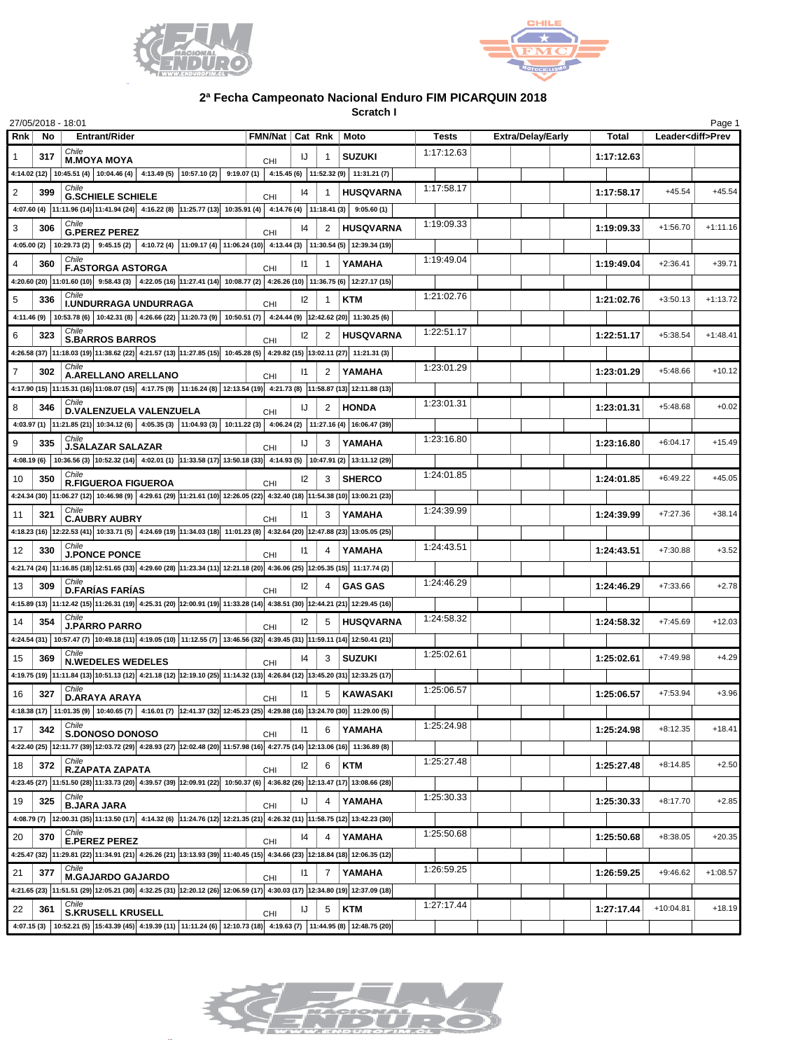



## **2ª Fecha Campeonato Nacional Enduro FIM PICARQUIN 2018**

**Scratch I**

| 27/05/2018 - 18:01    |                                                                                                                                                                            |            |              |                                    |              |                          |            |                          | Page 1     |
|-----------------------|----------------------------------------------------------------------------------------------------------------------------------------------------------------------------|------------|--------------|------------------------------------|--------------|--------------------------|------------|--------------------------|------------|
| <b>Rnk</b><br>No      | <b>Entrant/Rider</b>                                                                                                                                                       |            |              | FMN/Nat   Cat Rnk   Moto           | <b>Tests</b> | <b>Extra/Delay/Early</b> | Total      | Leader <diff>Prev</diff> |            |
| 317<br>1              | Chile<br><b>M.MOYA MOYA</b>                                                                                                                                                | <b>CHI</b> | IJ           | <b>SUZUKI</b>                      | 1:17:12.63   |                          | 1:17:12.63 |                          |            |
|                       | 4:14.02 (12) 10:45.51 (4) 10:04.46 (4) 4:13.49 (5) 10:57.10 (2) 9:19.07 (1) 4:15.45 (6) 11:52.32 (9) 11:31.21 (7)                                                          |            |              |                                    |              |                          |            |                          |            |
| 2<br>399              | Chile<br><b>G.SCHIELE SCHIELE</b>                                                                                                                                          | CHI        | 14           | <b>HUSQVARNA</b>                   | 1:17:58.17   |                          | 1:17:58.17 | $+45.54$                 | $+45.54$   |
|                       | 4:07.60 (4) $ 11:11.96$ (14) $ 11:41.94$ (24) $ 4:16.22$ (8) $ 11:25.77$ (13) $ 10:35.91$ (4) $ 4:14.76$ (4) $ 11:18.41$ (3) $ 9:05.60$ (1)                                |            |              |                                    |              |                          |            |                          |            |
| 3<br>306              | <b>G.PEREZ PEREZ</b>                                                                                                                                                       | <b>CHI</b> | 14           | <b>HUSQVARNA</b><br>2              | 1:19:09.33   |                          | 1:19:09.33 | $+1:56.70$               | $+1:11.16$ |
|                       | 4:05.00 (2) 10:29.73 (2) 9:45.15 (2) 4:10.72 (4) 11:09.17 (4) 11:06.24 (10) 4:13.44 (3) 11:30.54 (5) 12:39.34 (19)                                                         |            |              |                                    |              |                          |            |                          |            |
| $\overline{4}$<br>360 | Chile<br><b>F.ASTORGA ASTORGA</b>                                                                                                                                          | CHI        | $\mathsf{I}$ | YAMAHA                             | 1:19:49.04   |                          | 1:19:49.04 | $+2:36.41$               | $+39.71$   |
|                       | 4:20.60 (20) 11:01.60 (10) 9:58.43 (3) 4:22.05 (16) 11:27.41 (14) 10:08.77 (2) 4:26.26 (10) 11:36.75 (6) 12:27.17 (15)                                                     |            |              |                                    |              |                          |            |                          |            |
| 336<br>5              | Chile<br>I.UNDURRAGA UNDURRAGA                                                                                                                                             | <b>CHI</b> | 12           | <b>KTM</b>                         | 1:21:02.76   |                          | 1:21:02.76 | $+3:50.13$               | $+1:13.72$ |
|                       | 4:11.46 (9) 10:53.78 (6) 10:42.31 (8) 4:26.66 (22) 11:20.73 (9) 10:50.51 (7) 4:24.44 (9) 12:42.62 (20) 11:30.25 (6)                                                        |            |              |                                    |              |                          |            |                          |            |
| 6<br>323              | <b>S.BARROS BARROS</b>                                                                                                                                                     | CHI        | 12           | <b>HUSQVARNA</b><br>$\overline{2}$ | 1:22:51.17   |                          | 1:22:51.17 | $+5:38.54$               | $+1:48.41$ |
|                       | 4:26.58 (37) 11:18.03 (19) 11:38.62 (22) 4:21.57 (13) 11:27.85 (15) 10:45.28 (5) 4:29.82 (15) 13:02.11 (27) 11:21.31 (3)                                                   |            |              |                                    |              |                          |            |                          |            |
| 7<br>302              | A.ARELLANO ARELLANO                                                                                                                                                        | <b>CHI</b> | 11           | YAMAHA<br>2                        | 1:23:01.29   |                          | 1:23:01.29 | $+5:48.66$               | $+10.12$   |
|                       | 4:17.90 (15) 11:15.31 (16) 11:08.07 (15) 4:17.75 (9) 11:16.24 (8) 12:13.54 (19) 4:21.73 (8) 11:58.87 (13) 12:11.88 (13)                                                    |            |              |                                    |              |                          |            |                          |            |
| 8<br>346              | Chile<br>D.VALENZUELA VALENZUELA                                                                                                                                           | CHI        | IJ           | <b>HONDA</b><br>2                  | 1:23:01.31   |                          | 1:23:01.31 | $+5:48.68$               | $+0.02$    |
|                       | 4:03.97 (1) $ 11:21.85$ (21) $ 10:34.12$ (6) $ 4:05.35$ (3) $ 11:04.93$ (3) $ 10:11.22$ (3) $ 4:06.24$ (2) $ 11:27.16$ (4) $ 16:06.47$ (39)                                |            |              |                                    |              |                          |            |                          |            |
| 9<br>335              | Chile<br><b>J.SALAZAR SALAZAR</b>                                                                                                                                          | <b>CHI</b> | IJ           | YAMAHA<br>3                        | 1:23:16.80   |                          | 1:23:16.80 | $+6:04.17$               | $+15.49$   |
|                       | 4.08.19 (6) 10:36.56 (3) 10:52.32 (14) 4.02.01 (1) 11:33.58 (17) 13:50.18 (33) 4:14.93 (5) 10:47.91 (2) 13:11.12 (29)                                                      |            |              |                                    |              |                          |            |                          |            |
| 10<br>350             | Chile<br><b>R.FIGUEROA FIGUEROA</b>                                                                                                                                        | CHI        | 12           | <b>SHERCO</b><br>3                 | 1:24:01.85   |                          | 1:24:01.85 | $+6:49.22$               | $+45.05$   |
|                       | 4:24.34 (30) 11:06.27 (12) 10:46.98 (9) 4:29.61 (29) 11:21.61 (10) 12:26.05 (22) 4:32.40 (18) 11:54.38 (10) 13:00.21 (23)                                                  |            |              |                                    |              |                          |            |                          |            |
| 11<br>321             | <b>C.AUBRY AUBRY</b>                                                                                                                                                       |            | $\mathsf{I}$ | YAMAHA<br>3                        | 1:24:39.99   |                          | 1:24:39.99 | $+7:27.36$               | $+38.14$   |
|                       | 4:18.23 (16) 12:22.53 (41) 10:33.71 (5) 4:24.69 (19) 11:34.03 (18) 11:01.23 (8) 4:32.64 (20) 12:47.88 (23) 13:05.05 (25)                                                   | <b>CHI</b> |              |                                    |              |                          |            |                          |            |
| 12<br>330             | Chile<br><b>J.PONCE PONCE</b>                                                                                                                                              | <b>CHI</b> | $\mathsf{I}$ | YAMAHA                             | 1:24:43.51   |                          | 1:24:43.51 | $+7:30.88$               | $+3.52$    |
|                       | 4:21.74 (24) 11:16.85 (18) 12:51.65 (33) 4:29.60 (28) 11:23.34 (11) 12:21.18 (20) 4:36.06 (25) 12:05.35 (15) 11:17.74 (2)                                                  |            |              |                                    |              |                          |            |                          |            |
| 309<br>13             | Chile<br><b>D.FARÍAS FARÍAS</b>                                                                                                                                            | <b>CHI</b> | 12           | <b>GAS GAS</b>                     | 1:24:46.29   |                          | 1:24:46.29 | $+7:33.66$               | $+2.78$    |
|                       | 4:15.89 (13) 11:12.42 (15) 11:26.31 (19) 4:25.31 (20) 12:00.91 (19) 11:33.28 (14) 4:38.51 (30) 12:44.21 (21) 12:29.45 (16)                                                 |            |              |                                    |              |                          |            |                          |            |
| 14<br>354             | Chile<br><b>J.PARRO PARRO</b>                                                                                                                                              | CHI        | 12           | <b>HUSQVARNA</b><br>5              | 1:24:58.32   |                          | 1:24:58.32 | $+7:45.69$               | $+12.03$   |
|                       | 4:24.54 (31) 10:57.47 (7) 10:49.18 (11) 4:19.05 (10) 11:12.55 (7) 13:46.56 (32) 4:39.45 (31) 11:59.11 (14) 12:50.41 (21)                                                   |            |              |                                    |              |                          |            |                          |            |
| 15<br>369             | <b>N.WEDELES WEDELES</b>                                                                                                                                                   | CHI        | 14           | <b>SUZUKI</b><br>3                 | 1:25:02.61   |                          | 1:25:02.61 | $+7:49.98$               | $+4.29$    |
|                       | 4:19.75 (19) 11:11.84 (13) 10:51.13 (12) 4:21.18 (12) 12:19.10 (25) 11:14.32 (13) 4:26.84 (12) 13:45.20 (31) 12:33.25 (17)                                                 |            |              |                                    |              |                          |            |                          |            |
| 16<br>327             | Chile<br>D.ARAYA ARAYA                                                                                                                                                     | CHI        | $\mathsf{I}$ | KAWASAKI<br>5                      | 1:25:06.57   |                          | 1:25:06.57 | $+7:53.94$               | $+3.96$    |
|                       | 4:18.38 (17) 11:01.35 (9) 10:40.65 (7) 4:16.01 (7) 12:41.37 (32) 12:45.23 (25) 4:29.88 (16) 13:24.70 (30) 11:29.00 (5)                                                     |            |              |                                    |              |                          |            |                          |            |
| 342<br>17             | Chile<br><b>S.DONOSO DONOSO</b>                                                                                                                                            | CHI        | $\mathsf{I}$ | 6<br>YAMAHA                        | 1:25:24.98   |                          | 1:25:24.98 | $+8:12.35$               | $+18.41$   |
|                       | 4:22.40 (25) 12:11.77 (39) 12:03.72 (29) 4:28.93 (27) 12:02.48 (20) 11:57.98 (16) 4:27.75 (14) 12:13.06 (16) 11:36.89 (8)                                                  |            |              |                                    |              |                          |            |                          |            |
| 18<br>372             | Chile<br><b>R.ZAPATA ZAPATA</b>                                                                                                                                            |            | 12           | <b>KTM</b><br>6                    | 1:25:27.48   |                          | 1:25:27.48 | $+8:14.85$               | $+2.50$    |
|                       | 4:23.45 (27) 11:51.50 (28) 11:33.73 (20) 4:39.57 (39) 12:09.91 (22) 10:50.37 (6) 4:36.82 (26) 12:13.47 (17) 13:08.66 (28)                                                  | CHI        |              |                                    |              |                          |            |                          |            |
| 325<br>19             | Chile                                                                                                                                                                      |            | IJ           | YAMAHA<br>4                        | 1:25:30.33   |                          | 1:25:30.33 | $+8:17.70$               | $+2.85$    |
|                       | <b>B.JARA JARA</b><br>4.08.79 (7) 12:00.31 (35) 11:13.50 (17) 4:14.32 (6) 11:24.76 (12) 12:21.35 (21) 4:26.32 (11) 11:58.75 (12) 13:42.23 (30)                             | CHI        |              |                                    |              |                          |            |                          |            |
| 370<br>20             | Chile                                                                                                                                                                      |            | 4            | YAMAHA                             | 1:25:50.68   |                          | 1:25:50.68 | $+8:38.05$               | $+20.35$   |
|                       | <b>E.PEREZ PEREZ</b><br>4:25.47 (32) $ 11:29.81$ (22) $ 11:34.91$ (21) $ 4:26.26$ (21) $ 13:13.93$ (39) $ 11:40.45$ (15) $ 4:34.66$ (23) $ 12:18.84$ (18) $ 12:06.35$ (12) | CHI        |              |                                    |              |                          |            |                          |            |
| 21<br>377             |                                                                                                                                                                            |            | $\mathsf{I}$ | YAMAHA<br>7                        | 1:26:59.25   |                          | 1:26:59.25 | $+9:46.62$               | $+1:08.57$ |
|                       | <b>M.GAJARDO GAJARDO</b><br>4:21.65 (23) 11:51.51 (29) 12:05.21 (30) 4:32.25 (31) 12:20.12 (26) 12:06.59 (17) 4:30.03 (17) 12:34.80 (19) 12:37.09 (18)                     | CHI        |              |                                    |              |                          |            |                          |            |
|                       | Chile                                                                                                                                                                      |            | IJ           | <b>KTM</b><br>5                    | 1:27:17.44   |                          | 1:27:17.44 | $+10:04.81$              | $+18.19$   |
| 22<br>361             | <b>S.KRUSELL KRUSELL</b><br>4.07.15 (3) 10:52.21 (5) 15:43.39 (45) 4:19.39 (11) 11:11.24 (6) 12:10.73 (18) 4:19.63 (7) 11:44.95 (8) 12:48.75 (20)                          | CHI        |              |                                    |              |                          |            |                          |            |
|                       |                                                                                                                                                                            |            |              |                                    |              |                          |            |                          |            |

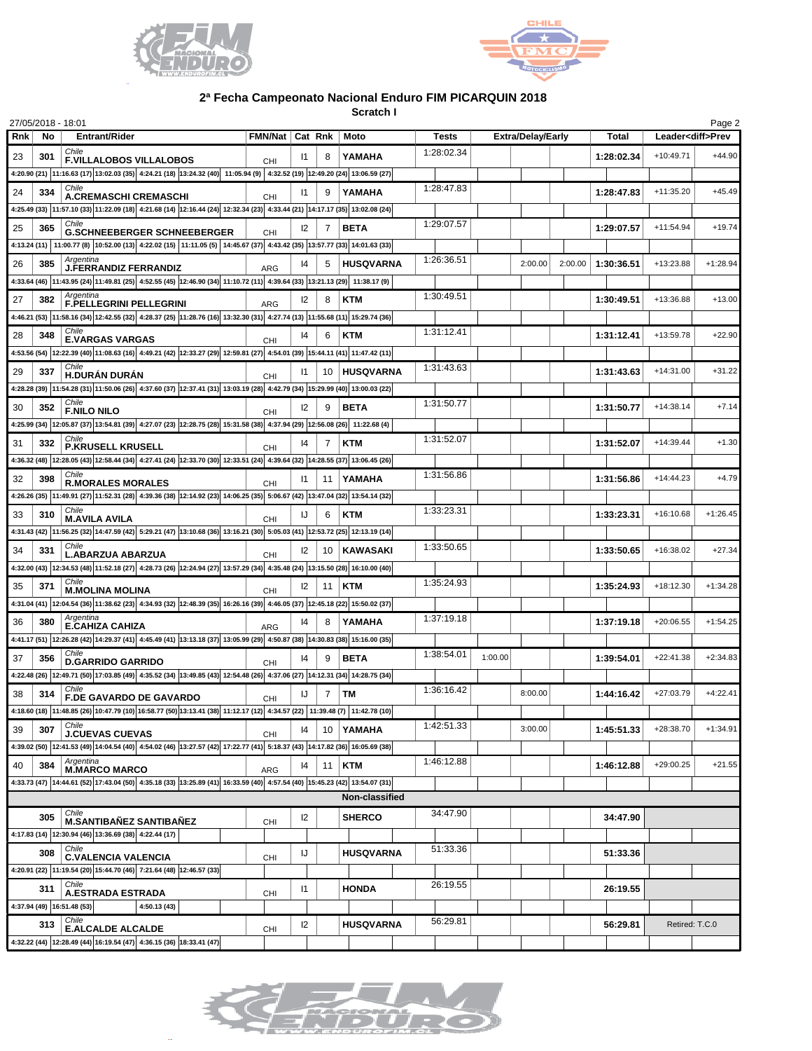



## **2ª Fecha Campeonato Nacional Enduro FIM PICARQUIN 2018**

**Scratch I**

| 27/05/2018 - 18:01<br>Page 2 |     |                                                                                                                                                                                                                                                                                                                                                                                  |                 |               |                 |                  |              |                          |         |            |                          |            |
|------------------------------|-----|----------------------------------------------------------------------------------------------------------------------------------------------------------------------------------------------------------------------------------------------------------------------------------------------------------------------------------------------------------------------------------|-----------------|---------------|-----------------|------------------|--------------|--------------------------|---------|------------|--------------------------|------------|
| Rnk                          | No  | <b>Entrant/Rider</b>                                                                                                                                                                                                                                                                                                                                                             | FMN/Nat Cat Rnk |               |                 | Moto             | <b>Tests</b> | <b>Extra/Delay/Early</b> |         | Total      | Leader <diff>Prev</diff> |            |
| 23                           | 301 | Chile<br><b>F.VILLALOBOS VILLALOBOS</b>                                                                                                                                                                                                                                                                                                                                          | <b>CHI</b>      | 11            | 8               | YAMAHA           | 1:28:02.34   |                          |         | 1:28:02.34 | $+10:49.71$              | $+44.90$   |
|                              |     | 4:20.90 (21) 11:16.63 (17) 13:02.03 (35) 4:24.21 (18) 13:24.32 (40) 11:05.94 (9) 4:32.52 (19) 12:49.20 (24) 13:06.59 (27)                                                                                                                                                                                                                                                        |                 |               |                 |                  |              |                          |         |            |                          |            |
| 24                           | 334 | Chile                                                                                                                                                                                                                                                                                                                                                                            |                 | $\mathsf{I}$  |                 | YAMAHA           | 1:28:47.83   |                          |         | 1:28:47.83 | $+11:35.20$              | $+45.49$   |
|                              |     | <b>A.CREMASCHI CREMASCHI</b><br>4:25.49 (33) 11:57.10 (33) 11:22.09 (18) 4:21.68 (14) 12:16.44 (24) 12:32.34 (23) 4:33.44 (21) 14:17.17 (35) 13:02.08 (24)                                                                                                                                                                                                                       | <b>CHI</b>      |               |                 |                  |              |                          |         |            |                          |            |
| 25                           | 365 | Chile                                                                                                                                                                                                                                                                                                                                                                            |                 | 12            |                 | <b>BETA</b>      | 1:29:07.57   |                          |         | 1:29:07.57 | $+11:54.94$              | $+19.74$   |
|                              |     | <b>G.SCHNEEBERGER SCHNEEBERGER</b><br>4:13.24 (11)   11:00.77 (8)   10:52.00 (13)   4:22.02 (15)   11:11.05 (5)   14:45.67 (37)   4:43.42 (35)   13:57.77 (33)   14:01.63 (33)                                                                                                                                                                                                   | <b>CHI</b>      |               |                 |                  |              |                          |         |            |                          |            |
|                              |     | Argentina                                                                                                                                                                                                                                                                                                                                                                        |                 |               |                 |                  | 1:26:36.51   |                          |         |            |                          |            |
| 26                           | 385 | J.FERRANDIZ FERRANDIZ                                                                                                                                                                                                                                                                                                                                                            | <b>ARG</b>      | $ 4\rangle$   | 5               | <b>HUSQVARNA</b> |              | 2:00.00                  | 2:00.00 | 1:30:36.51 | +13:23.88                | $+1:28.94$ |
|                              |     | 4:33.64 (46)  11:43.95 (24)  11:49.81 (25)   4:52.55 (45)  12:46.90 (34)   11:10.72 (11)   4:39.64 (33)  13:21.13 (29)   11:38.17 (9)                                                                                                                                                                                                                                            |                 |               |                 |                  | 1:30:49.51   |                          |         |            |                          |            |
| 27                           | 382 | Argentina<br>F.PELLEGRINI PELLEGRINI                                                                                                                                                                                                                                                                                                                                             | <b>ARG</b>      | 12            | 8               | <b>KTM</b>       |              |                          |         | 1:30:49.51 | +13:36.88                | $+13.00$   |
|                              |     | 4:46.21 (53) 11:58.16 (34) 12:42.55 (32) 4:28.37 (25) 11:28.76 (16) 13:32.30 (31) 4:27.74 (13) 11:55.68 (11) 15:29.74 (36)                                                                                                                                                                                                                                                       |                 |               |                 |                  |              |                          |         |            |                          |            |
| 28                           | 348 | Chile<br><b>E.VARGAS VARGAS</b>                                                                                                                                                                                                                                                                                                                                                  | <b>CHI</b>      | 14            |                 | <b>KTM</b>       | 1:31:12.41   |                          |         | 1:31:12.41 | +13:59.78                | $+22.90$   |
|                              |     | 4:53.56 (54) 12:22.39 (40) 11:08.63 (16) 4:49.21 (42) 12:33.27 (29) 12:59.81 (27) 4:54.01 (39) 15:44.11 (41) 11:47.42 (11)                                                                                                                                                                                                                                                       |                 |               |                 |                  |              |                          |         |            |                          |            |
| 29                           | 337 | Chile<br>H.DURÁN DURÁN                                                                                                                                                                                                                                                                                                                                                           | <b>CHI</b>      | $\mathsf{I}$  |                 | 10   HUSQVARNA   | 1:31:43.63   |                          |         | 1:31:43.63 | $+14:31.00$              | $+31.22$   |
|                              |     | 4:28.28 (39) 11:54.28 (31) 11:50.06 (26) 4:37.60 (37) 12:37.41 (31) 13:03.19 (28) 4:42.79 (34) 15:29.99 (40) 13:00.03 (22)                                                                                                                                                                                                                                                       |                 |               |                 |                  |              |                          |         |            |                          |            |
| 30                           | 352 | Chile<br><b>F.NILO NILO</b>                                                                                                                                                                                                                                                                                                                                                      | <b>CHI</b>      | 12            | 9               | <b>BETA</b>      | 1:31:50.77   |                          |         | 1:31:50.77 | $+14:38.14$              | $+7.14$    |
|                              |     | 4:25.99 (34) 12:05.87 (37) 13:54.81 (39) 4:27.07 (23) 12:28.75 (28) 15:31.58 (38) 4:37.94 (29) 12:56.08 (26) 11:22.68 (4)                                                                                                                                                                                                                                                        |                 |               |                 |                  |              |                          |         |            |                          |            |
| 31                           | 332 | Chile                                                                                                                                                                                                                                                                                                                                                                            |                 | 14            |                 | <b>KTM</b>       | 1:31:52.07   |                          |         | 1:31:52.07 | +14:39.44                | $+1.30$    |
|                              |     | P.KRUSELL KRUSELL<br>4:36.32 (48) 12:28.05 (43) 12:58.44 (34) 4:27.41 (24) 12:33.70 (30) 12:33.51 (24) 4:39.64 (32) 14:28.55 (37) 13:06.45 (26)                                                                                                                                                                                                                                  | CHI             |               |                 |                  |              |                          |         |            |                          |            |
|                              |     | Chile                                                                                                                                                                                                                                                                                                                                                                            |                 |               |                 |                  | 1:31:56.86   |                          |         |            | $+14:44.23$              | $+4.79$    |
| 32                           | 398 | <b>R.MORALES MORALES</b>                                                                                                                                                                                                                                                                                                                                                         | <b>CHI</b>      | $\mathsf{I}$  | 11              | YAMAHA           |              |                          |         | 1:31:56.86 |                          |            |
|                              |     | 4:26.26 (35) 11:49.91 (27) 11:52.31 (28) 4:39.36 (38) 12:14.92 (23) 14:06.25 (35) 5:06.67 (42) 13:47.04 (32) 13:54.14 (32)<br>Chile                                                                                                                                                                                                                                              |                 |               |                 |                  | 1:33:23.31   |                          |         |            |                          |            |
| 33                           | 310 | <b>M.AVILA AVILA</b>                                                                                                                                                                                                                                                                                                                                                             | <b>CHI</b>      | IJ            | 6               | <b>KTM</b>       |              |                          |         | 1:33:23.31 | $+16:10.68$              | $+1:26.45$ |
|                              |     | 4:31.43 (42) 11:56.25 (32) 14:47.59 (42) 5:29.21 (47) 13:10.68 (36) 13:16.21 (30) 5:05.03 (41) 12:53.72 (25) 12:13.19 (14)                                                                                                                                                                                                                                                       |                 |               |                 |                  |              |                          |         |            |                          |            |
| 34                           | 331 | Chile<br><b>L.ABARZUA ABARZUA</b>                                                                                                                                                                                                                                                                                                                                                | <b>CHI</b>      | 12            | 10 <sup>1</sup> | <b>KAWASAKI</b>  | 1:33:50.65   |                          |         | 1:33:50.65 | +16:38.02                | $+27.34$   |
|                              |     | 4:32.00 (43) 12:34.53 (48) 11:52.18 (27) 4:28.73 (26) 12:24.94 (27) 13:57.29 (34) 4:35.48 (24) 13:15.50 (28) 16:10.00 (40)                                                                                                                                                                                                                                                       |                 |               |                 |                  |              |                          |         |            |                          |            |
| 35                           | 371 | Chile<br><b>M.MOLINA MOLINA</b>                                                                                                                                                                                                                                                                                                                                                  | CHI             | 12            | 11              | <b>KTM</b>       | 1:35:24.93   |                          |         | 1:35:24.93 | +18:12.30                | $+1:34.28$ |
|                              |     | 4:31.04 (41) 12:04.54 (36) 11:38.62 (23) 4:34.93 (32) 12:48.39 (35) 16:26.16 (39) 4:46.05 (37) 12:45.18 (22) 15:50.02 (37)                                                                                                                                                                                                                                                       |                 |               |                 |                  |              |                          |         |            |                          |            |
| 36                           | 380 | Argentina<br><b>E.CAHIZA CAHIZA</b>                                                                                                                                                                                                                                                                                                                                              | <b>ARG</b>      | $\mathsf{I}4$ |                 | YAMAHA           | 1:37:19.18   |                          |         | 1:37:19.18 | +20:06.55                | $+1:54.25$ |
|                              |     | 4:41.17 (51) 12:26.28 (42) 14:29.37 (41) 4:45.49 (41) 13:13.18 (37) 13:05.99 (29) 4:50.87 (38) 14:30.83 (38) 15:16.00 (35)                                                                                                                                                                                                                                                       |                 |               |                 |                  |              |                          |         |            |                          |            |
| 37                           | 356 | Chile<br><b>D.GARRIDO GARRIDO</b>                                                                                                                                                                                                                                                                                                                                                |                 | 14            | 9               | <b>BETA</b>      | 1:38:54.01   | 1:00.00                  |         | 1:39:54.01 | $+22:41.38$              | $+2:34.83$ |
|                              |     | 4:22.48 (26) 12:49.71 (50) 17:03.85 (49) 4:35.52 (34) 13:49.85 (43) 12:54.48 (26) 4:37.06 (27) 14:12.31 (34) 14:28.75 (34)                                                                                                                                                                                                                                                       | <b>CHI</b>      |               |                 |                  |              |                          |         |            |                          |            |
| 38                           | 314 | Chile                                                                                                                                                                                                                                                                                                                                                                            |                 | IJ            | 7               | TM               | 1:36:16.42   | 8:00.00                  |         | 1:44:16.42 | +27:03.79                | $+4:22.41$ |
|                              |     | <b>F.DE GAVARDO DE GAVARDO</b><br>4:18.60 (18) $\Big 11:48.85\left(26\right)\Big 10:47.79\left(10\right)\Big 16:58.77\left(50\right)\Big 13:13.41\left(38\right)\Big 11:12.17\left(12\right)\Big 4:34.57\left(22\right)\Big 11:39.48\left(7\right)\Big 11:42.78\left(10\right)\Big 11:42.78\left(10\right)\Big 11:42.78\left(10\right)\Big 11:43.48\left(10\right)\Big 11:44.48$ | CHI             |               |                 |                  |              |                          |         |            |                          |            |
|                              |     | Chile                                                                                                                                                                                                                                                                                                                                                                            |                 |               |                 |                  | 1:42:51.33   |                          |         |            |                          |            |
| 39                           | 307 | <b>J.CUEVAS CUEVAS</b>                                                                                                                                                                                                                                                                                                                                                           | CHI             | 14            |                 | 10 YAMAHA        |              | 3:00.00                  |         | 1:45:51.33 | +28:38.70                | $+1:34.91$ |
|                              |     | 4:39.02 (50) 12:41.53 (49) 14:04.54 (40) 4:54.02 (46) 13:27.57 (42) 17:22.77 (41) 5:18.37 (43) 14:17.82 (36) 16:05.69 (38)<br>Argentina                                                                                                                                                                                                                                          |                 |               |                 |                  | 1:46:12.88   |                          |         |            |                          |            |
| 40                           | 384 | <b>M.MARCO MARCO</b>                                                                                                                                                                                                                                                                                                                                                             | <b>ARG</b>      | 14            | 11              | <b>KTM</b>       |              |                          |         | 1:46:12.88 | $+29:00.25$              | $+21.55$   |
|                              |     | 4:33.73 (47) 14:44.61 (52) 17:43.04 (50) 4:35.18 (33) 13:25.89 (41) 16:33.59 (40) 4:57.54 (40) 15:45.23 (42) 13:54.07 (31)                                                                                                                                                                                                                                                       |                 |               |                 |                  |              |                          |         |            |                          |            |
| Non-classified               |     |                                                                                                                                                                                                                                                                                                                                                                                  |                 |               |                 |                  |              |                          |         |            |                          |            |
|                              | 305 | Chile<br><b>M.SANTIBAÑEZ SANTIBAÑEZ</b>                                                                                                                                                                                                                                                                                                                                          | CHI             | 12            |                 | <b>SHERCO</b>    | 34:47.90     |                          |         | 34:47.90   |                          |            |
|                              |     | 4:17.83 (14) 12:30.94 (46) 13:36.69 (38) 4:22.44 (17)                                                                                                                                                                                                                                                                                                                            |                 |               |                 |                  |              |                          |         |            |                          |            |
|                              | 308 | Chile<br><b>C.VALENCIA VALENCIA</b>                                                                                                                                                                                                                                                                                                                                              | <b>CHI</b>      | IJ            |                 | HUSQVARNA        | 51:33.36     |                          |         | 51:33.36   |                          |            |
|                              |     | 4:20.91 (22) 11:19.54 (20) 15:44.70 (46) 7:21.64 (48) 12:46.57 (33)                                                                                                                                                                                                                                                                                                              |                 |               |                 |                  |              |                          |         |            |                          |            |
|                              | 311 | Chile<br><b>A.ESTRADA ESTRADA</b>                                                                                                                                                                                                                                                                                                                                                |                 | 11            |                 | <b>HONDA</b>     | 26:19.55     |                          |         | 26:19.55   |                          |            |
|                              |     | 4:37.94 (49)   16:51.48 (53)  <br>4:50.13 (43)                                                                                                                                                                                                                                                                                                                                   | <b>CHI</b>      |               |                 |                  |              |                          |         |            |                          |            |
|                              | 313 | Chile                                                                                                                                                                                                                                                                                                                                                                            |                 | 12            |                 | <b>HUSQVARNA</b> | 56:29.81     |                          |         | 56:29.81   | Retired: T.C.0           |            |
|                              |     | <b>E.ALCALDE ALCALDE</b><br>4:32.22 (44) 12:28.49 (44) 16:19.54 (47) 4:36.15 (36) 18:33.41 (47)                                                                                                                                                                                                                                                                                  | <b>CHI</b>      |               |                 |                  |              |                          |         |            |                          |            |
|                              |     |                                                                                                                                                                                                                                                                                                                                                                                  |                 |               |                 |                  |              |                          |         |            |                          |            |